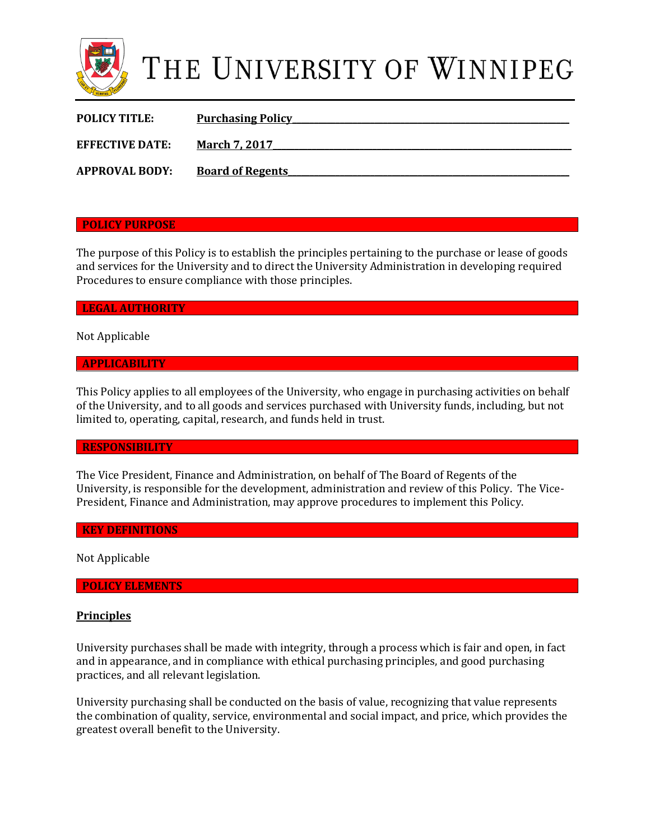

# THE UNIVERSITY OF WINNIPEG

| <b>POLICY TITLE:</b>   | <b>Purchasing Policy</b> |
|------------------------|--------------------------|
| <b>EFFECTIVE DATE:</b> | <b>March 7, 2017</b>     |
| <b>APPROVAL BODY:</b>  | <b>Board of Regents</b>  |

#### **POLICY PURPOSE**

The purpose of this Policy is to establish the principles pertaining to the purchase or lease of goods and services for the University and to direct the University Administration in developing required Procedures to ensure compliance with those principles.

**LEGAL AUTHORITY** 

Not Applicable

#### **APPLICABILITY**

This Policy applies to all employees of the University, who engage in purchasing activities on behalf of the University, and to all goods and services purchased with University funds, including, but not limited to, operating, capital, research, and funds held in trust.

#### **RESPONSIBILITY**

The Vice President, Finance and Administration, on behalf of The Board of Regents of the University, is responsible for the development, administration and review of this Policy. The Vice-President, Finance and Administration, may approve procedures to implement this Policy.

#### **KEY DEFINITIONS**

Not Applicable

### **POLICY ELEMENTS**

#### **Principles**

University purchases shall be made with integrity, through a process which is fair and open, in fact and in appearance, and in compliance with ethical purchasing principles, and good purchasing practices, and all relevant legislation.

University purchasing shall be conducted on the basis of value, recognizing that value represents the combination of quality, service, environmental and social impact, and price, which provides the greatest overall benefit to the University.